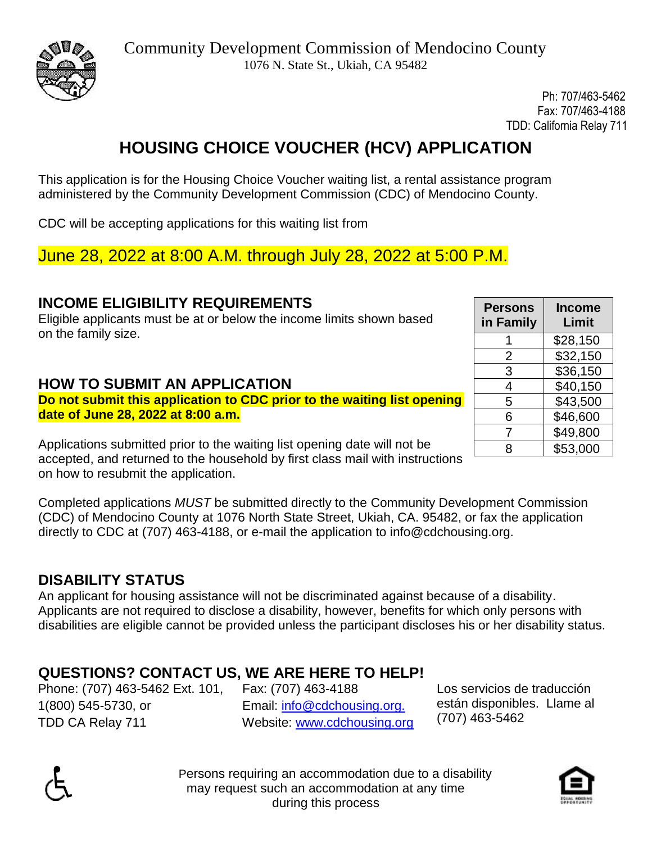

Ph: 707/463-5462 Fax: 707/463-4188 TDD: California Relay 711

# **HOUSING CHOICE VOUCHER (HCV) APPLICATION**

This application is for the Housing Choice Voucher waiting list, a rental assistance program administered by the Community Development Commission (CDC) of Mendocino County.

CDC will be accepting applications for this waiting list from

June 28, 2022 at 8:00 A.M. through July 28, 2022 at 5:00 P.M.

## **INCOME ELIGIBILITY REQUIREMENTS**

Eligible applicants must be at or below the income limits shown based on the family size.

## **HOW TO SUBMIT AN APPLICATION**

**Do not submit this application to CDC prior to the waiting list opening date of June 28, 2022 at 8:00 a.m.** 

Applications submitted prior to the waiting list opening date will not be accepted, and returned to the household by first class mail with instructions on how to resubmit the application.

Completed applications *MUST* be submitted directly to the Community Development Commission (CDC) of Mendocino County at 1076 North State Street, Ukiah, CA. 95482, or fax the application directly to CDC at (707) 463-4188, or e-mail the application to [info@cdchousing.org.](mailto:info@cdchousing.org)

# **DISABILITY STATUS**

An applicant for housing assistance will not be discriminated against because of a disability. Applicants are not required to disclose a disability, however, benefits for which only persons with disabilities are eligible cannot be provided unless the participant discloses his or her disability status.

# **QUESTIONS? CONTACT US, WE ARE HERE TO HELP!**

Phone: (707) 463-5462 Ext. 101, Fax: (707) 463-4188 1(800) 545-5730, or TDD CA Relay 711

 Email: [info@cdchousing.org.](mailto:info@cdchousing.org.)  Website: [www.cdchousing.org](http://www.cdchousing.org/) Los servicios de traducción están disponibles. Llame al (707) 463-5462





| <b>Persons</b><br>in Family | Income<br>Limit |
|-----------------------------|-----------------|
|                             | \$28,150        |
| 2                           | \$32,150        |
| 3                           | \$36,150        |
| 4                           | \$40,150        |
| 5                           | \$43,500        |
| 6                           | \$46,600        |
| 7                           | \$49,800        |
| ጸ                           | \$53,000        |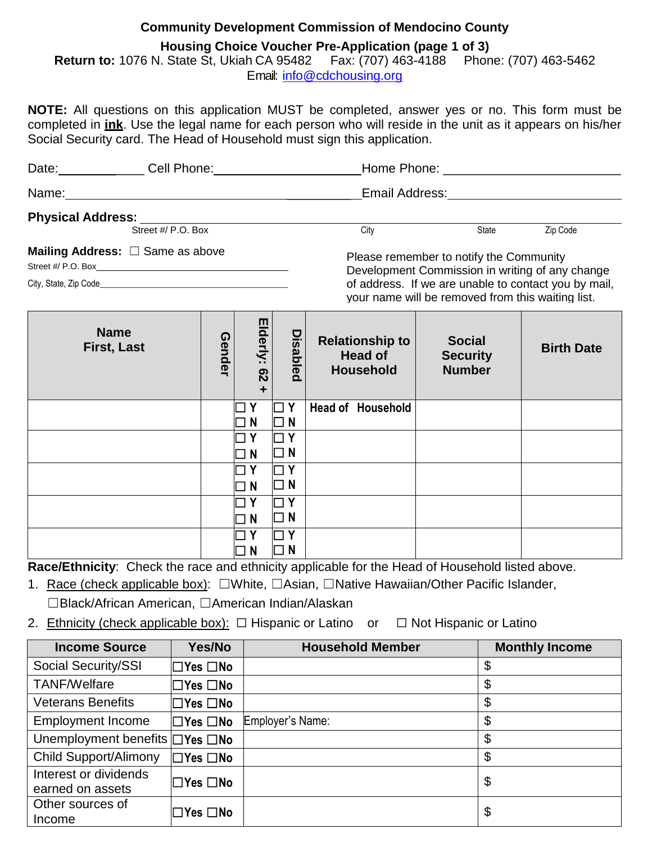### **Community Development Commission of Mendocino County**

### **Housing Choice Voucher Pre-Application (page 1 of 3)**

**Return to:** 1076 N. State St, Ukiah CA 95482 Fax: (707) 463-4188 Phone: (707) 463-5462 Email: [info@cdchousing.org](mailto:info@cdchousing.org)

**NOTE:** All questions on this application MUST be completed, answer yes or no. This form must be completed in **ink**. Use the legal name for each person who will reside in the unit as it appears on his/her Social Security card. The Head of Household must sign this application.

| Date:                    | Cell Phone:                                  | Home Phone:                             |              |          |  |
|--------------------------|----------------------------------------------|-----------------------------------------|--------------|----------|--|
| Name:                    |                                              | Email Address:                          |              |          |  |
| <b>Physical Address:</b> |                                              |                                         |              |          |  |
|                          | Street #/ P.O. Box                           | City                                    | <b>State</b> | Zip Code |  |
|                          | <b>Mailing Address:</b> $\Box$ Same as above | Dlogge remember to potify the Community |              |          |  |

Street #/ P.O. Box\_\_\_\_\_

City, State, Zip Code

Please remember to notify the Community Development Commission in writing of any change of address. If we are unable to contact you by mail, your name will be removed from this waiting list.

| <b>Name</b><br>First, Last | Gender | Elderly:<br>$\overline{c}$<br>$\ddot{}$ | <b>Disabled</b>               | <b>Relationship to</b><br><b>Head of</b><br><b>Household</b> | <b>Social</b><br><b>Security</b><br><b>Number</b> | <b>Birth Date</b> |
|----------------------------|--------|-----------------------------------------|-------------------------------|--------------------------------------------------------------|---------------------------------------------------|-------------------|
|                            |        | Υ                                       | l Y<br>π                      | Head of Household                                            |                                                   |                   |
|                            |        | N                                       | $\Box$ N                      |                                                              |                                                   |                   |
|                            |        | Y                                       | $\overline{Y}$<br>$\sim$      |                                                              |                                                   |                   |
|                            |        | N                                       | $\overline{N}$<br>$\Box$      |                                                              |                                                   |                   |
|                            |        | Y                                       | $\overline{Y}$<br>$\sim$      |                                                              |                                                   |                   |
|                            |        | N                                       | $\Box$ N                      |                                                              |                                                   |                   |
|                            |        | Y                                       | $\mathbf{Y}$                  |                                                              |                                                   |                   |
|                            |        | N                                       | $\Box$ N                      |                                                              |                                                   |                   |
|                            |        | Y                                       | . Ү                           |                                                              |                                                   |                   |
|                            |        | N                                       | N<br>$\overline{\phantom{a}}$ |                                                              |                                                   |                   |

**Race/Ethnicity**: Check the race and ethnicity applicable for the Head of Household listed above.

1. Race (check applicable box): ☐White, ☐Asian, ☐Native Hawaiian/Other Pacific Islander, ☐Black/African American, ☐American Indian/Alaskan

2. Ethnicity (check applicable box):  $\Box$  Hispanic or Latino or  $\Box$  Not Hispanic or Latino

| <b>Income Source</b>                       | Yes/No                     | <b>Household Member</b> | <b>Monthly Income</b> |
|--------------------------------------------|----------------------------|-------------------------|-----------------------|
| Social Security/SSI                        | $\square$ Yes $\square$ No |                         | \$                    |
| <b>TANF/Welfare</b>                        | ∣⊟Yes □No                  |                         | \$                    |
| <b>Veterans Benefits</b>                   | $\Box$ Yes $\Box$ No       |                         | \$                    |
| <b>Employment Income</b>                   | $\square$ Yes $\square$ No | Employer's Name:        | \$                    |
| Unemployment benefits $\Box$ Yes $\Box$ No |                            |                         | \$                    |
| <b>Child Support/Alimony</b>               | $\Box$ Yes $\Box$ No       |                         | \$                    |
| Interest or dividends                      | $\Box$ Yes $\Box$ No       |                         | \$                    |
| earned on assets                           |                            |                         |                       |
| Other sources of                           |                            |                         | \$                    |
| Income                                     | ∣⊟Yes □No                  |                         |                       |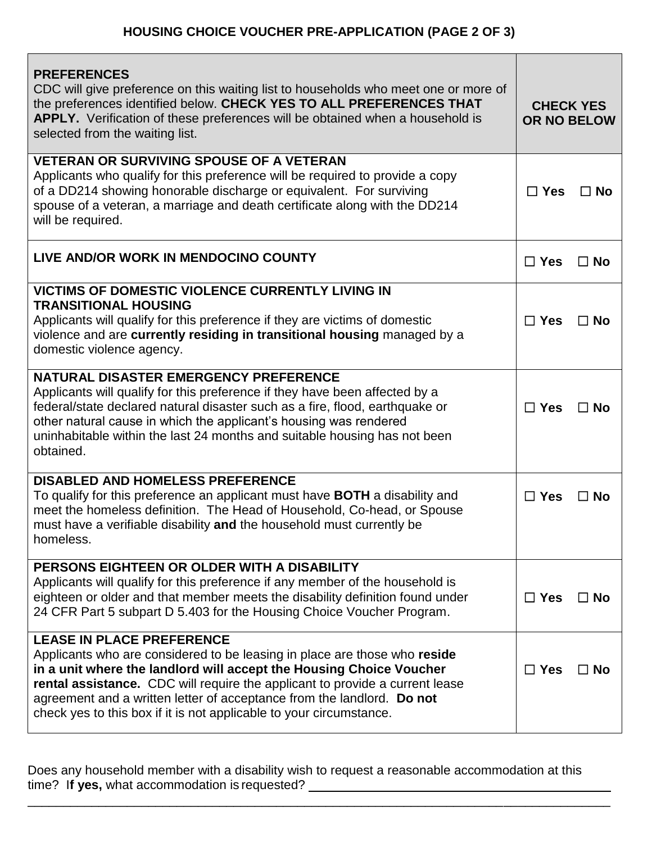| <b>PREFERENCES</b><br>CDC will give preference on this waiting list to households who meet one or more of<br>the preferences identified below. CHECK YES TO ALL PREFERENCES THAT<br>APPLY. Verification of these preferences will be obtained when a household is<br>selected from the waiting list.                                                                                                                         | <b>CHECK YES</b><br><b>OR NO BELOW</b> |           |
|------------------------------------------------------------------------------------------------------------------------------------------------------------------------------------------------------------------------------------------------------------------------------------------------------------------------------------------------------------------------------------------------------------------------------|----------------------------------------|-----------|
| <b>VETERAN OR SURVIVING SPOUSE OF A VETERAN</b><br>Applicants who qualify for this preference will be required to provide a copy<br>of a DD214 showing honorable discharge or equivalent. For surviving<br>spouse of a veteran, a marriage and death certificate along with the DD214<br>will be required.                                                                                                                   | $\Box$ Yes                             | $\Box$ No |
| LIVE AND/OR WORK IN MENDOCINO COUNTY                                                                                                                                                                                                                                                                                                                                                                                         | $\Box$ Yes                             | $\Box$ No |
| VICTIMS OF DOMESTIC VIOLENCE CURRENTLY LIVING IN<br><b>TRANSITIONAL HOUSING</b><br>Applicants will qualify for this preference if they are victims of domestic<br>violence and are currently residing in transitional housing managed by a<br>domestic violence agency.                                                                                                                                                      | $\Box$ Yes                             | $\Box$ No |
| NATURAL DISASTER EMERGENCY PREFERENCE<br>Applicants will qualify for this preference if they have been affected by a<br>federal/state declared natural disaster such as a fire, flood, earthquake or<br>other natural cause in which the applicant's housing was rendered<br>uninhabitable within the last 24 months and suitable housing has not been<br>obtained.                                                          | $\Box$ Yes                             | $\Box$ No |
| <b>DISABLED AND HOMELESS PREFERENCE</b><br>To qualify for this preference an applicant must have <b>BOTH</b> a disability and<br>meet the homeless definition. The Head of Household, Co-head, or Spouse<br>must have a verifiable disability and the household must currently be<br>homeless.                                                                                                                               | $\Box$ Yes                             | $\Box$ No |
| PERSONS EIGHTEEN OR OLDER WITH A DISABILITY<br>Applicants will qualify for this preference if any member of the household is<br>eighteen or older and that member meets the disability definition found under<br>24 CFR Part 5 subpart D 5.403 for the Housing Choice Voucher Program.                                                                                                                                       | $\Box$ Yes                             | $\Box$ No |
| <b>LEASE IN PLACE PREFERENCE</b><br>Applicants who are considered to be leasing in place are those who reside<br>in a unit where the landlord will accept the Housing Choice Voucher<br><b>rental assistance.</b> CDC will require the applicant to provide a current lease<br>agreement and a written letter of acceptance from the landlord. Do not<br>check yes to this box if it is not applicable to your circumstance. | $\Box$ Yes                             | $\Box$ No |

Does any household member with a disability wish to request a reasonable accommodation at this time? If yes, what accommodation is requested? \_\_\_\_\_\_\_\_\_\_\_\_\_\_\_\_\_\_\_\_\_\_\_\_\_\_\_\_\_\_\_\_\_\_

\_\_\_\_\_\_\_\_\_\_\_\_\_\_\_\_\_\_\_\_\_\_\_\_\_\_\_\_\_\_\_\_\_\_\_\_\_\_\_\_\_\_\_\_\_\_\_\_\_\_\_\_\_\_\_\_\_\_\_\_\_\_\_\_\_\_\_\_\_\_\_\_\_\_\_\_\_\_\_\_\_\_